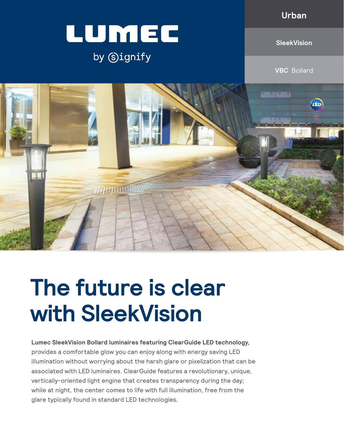**Urban**



### by Signify

**SleekVision**

**VBC** Bollard



# **The future is clear with SleekVision**

**Lumec SleekVision Bollard luminaires featuring ClearGuide LED technology,**  provides a comfortable glow you can enjoy along with energy saving LED illumination without worrying about the harsh glare or pixelization that can be associated with LED luminaires. ClearGuide features a revolutionary, unique, vertically-oriented light engine that creates transparency during the day; while at night, the center comes to life with full illumination, free from the glare typically found in standard LED technologies.